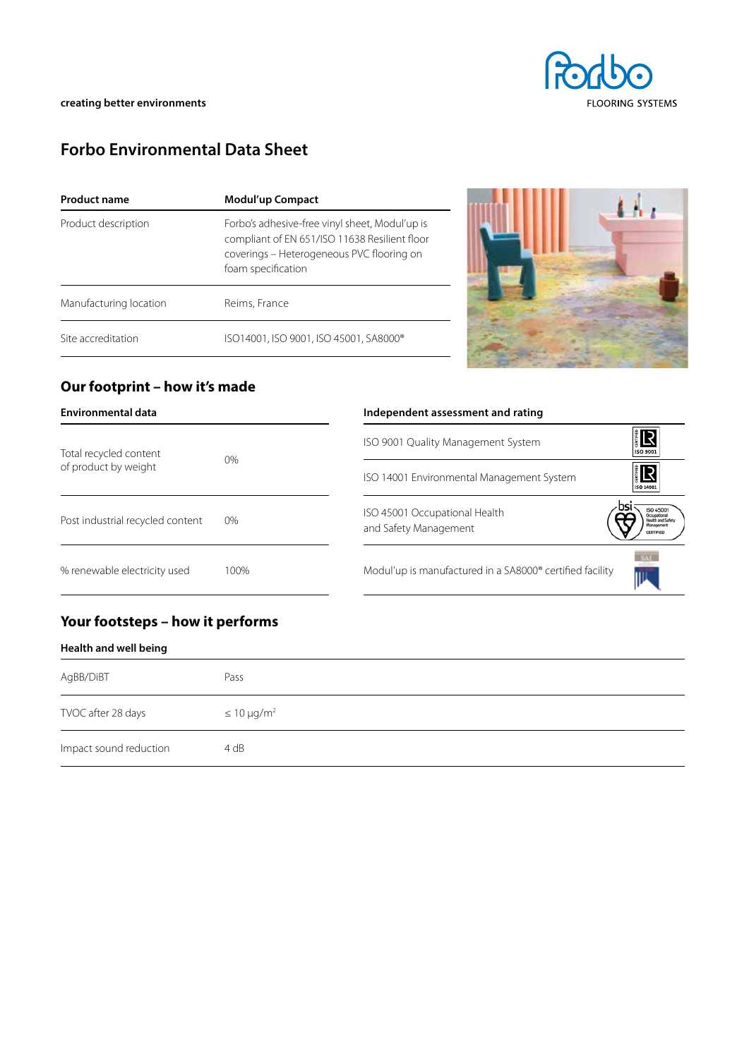

# **Forbo Environmental Data Sheet**

| <b>Product name</b>    | Modul'up Compact                                                                                                                                                   |  |  |
|------------------------|--------------------------------------------------------------------------------------------------------------------------------------------------------------------|--|--|
| Product description    | Forbo's adhesive-free vinyl sheet, Modul'up is<br>compliant of EN 651/ISO 11638 Resilient floor<br>coverings – Heterogeneous PVC flooring on<br>foam specification |  |  |
| Manufacturing location | Reims, France                                                                                                                                                      |  |  |
| Site accreditation     | ISO14001, ISO 9001, ISO 45001, SA8000®                                                                                                                             |  |  |



## **Our footprint – how it's made**

| <b>Environmental data</b>                      |       | Independent assessment and rating                                                              |
|------------------------------------------------|-------|------------------------------------------------------------------------------------------------|
| Total recycled content<br>of product by weight | $0\%$ | 旧<br>ISO 9001 Quality Management System<br>ISO 9001                                            |
|                                                |       | <b>ER</b><br>ISO 14001 Environmental Management System<br>ISO 14001                            |
| Post industrial recycled content               | 0%    | <b>ISO 45001</b><br>ISO 45001 Occupational Health<br>and Safety Management<br><b>CERTIFIED</b> |
| % renewable electricity used                   | 100%  | Modul'up is manufactured in a SA8000® certified facility                                       |

## **Your footsteps – how it performs**

| Health and well being |  |  |
|-----------------------|--|--|
|                       |  |  |

| AgBB/DiBT              | Pass                |
|------------------------|---------------------|
| TVOC after 28 days     | $\leq 10 \mu g/m^2$ |
| Impact sound reduction | 4 dB                |